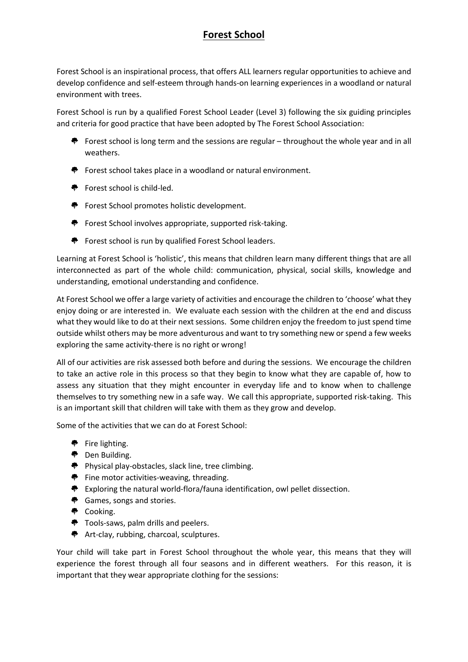## **Forest School**

Forest School is an inspirational process, that offers ALL learners regular opportunities to achieve and develop confidence and self-esteem through hands-on learning experiences in a woodland or natural environment with trees.

Forest School is run by a qualified Forest School Leader (Level 3) following the six guiding principles and criteria for good practice that have been adopted by The Forest School Association:

- **F** Forest school is long term and the sessions are regular throughout the whole year and in all weathers.
- $\bullet$  Forest school takes place in a woodland or natural environment.
- ◆ Forest school is child-led.
- $\bullet$  Forest School promotes holistic development.
- ◆ Forest School involves appropriate, supported risk-taking.
- ♦ Forest school is run by qualified Forest School leaders.

Learning at Forest School is 'holistic', this means that children learn many different things that are all interconnected as part of the whole child: communication, physical, social skills, knowledge and understanding, emotional understanding and confidence.

At Forest School we offer a large variety of activities and encourage the children to 'choose' what they enjoy doing or are interested in. We evaluate each session with the children at the end and discuss what they would like to do at their next sessions. Some children enjoy the freedom to just spend time outside whilst others may be more adventurous and want to try something new or spend a few weeks exploring the same activity-there is no right or wrong!

All of our activities are risk assessed both before and during the sessions. We encourage the children to take an active role in this process so that they begin to know what they are capable of, how to assess any situation that they might encounter in everyday life and to know when to challenge themselves to try something new in a safe way. We call this appropriate, supported risk-taking. This is an important skill that children will take with them as they grow and develop.

Some of the activities that we can do at Forest School:

- $\bullet$  Fire lighting.
- ◆ Den Building.
- ◆ Physical play-obstacles, slack line, tree climbing.
- $\bullet$  Fine motor activities-weaving, threading.
- $\bullet$  Exploring the natural world-flora/fauna identification, owl pellet dissection.
- Games, songs and stories.
- ◆ Cooking.
- ◆ Tools-saws, palm drills and peelers.
- Art-clay, rubbing, charcoal, sculptures.

Your child will take part in Forest School throughout the whole year, this means that they will experience the forest through all four seasons and in different weathers. For this reason, it is important that they wear appropriate clothing for the sessions: